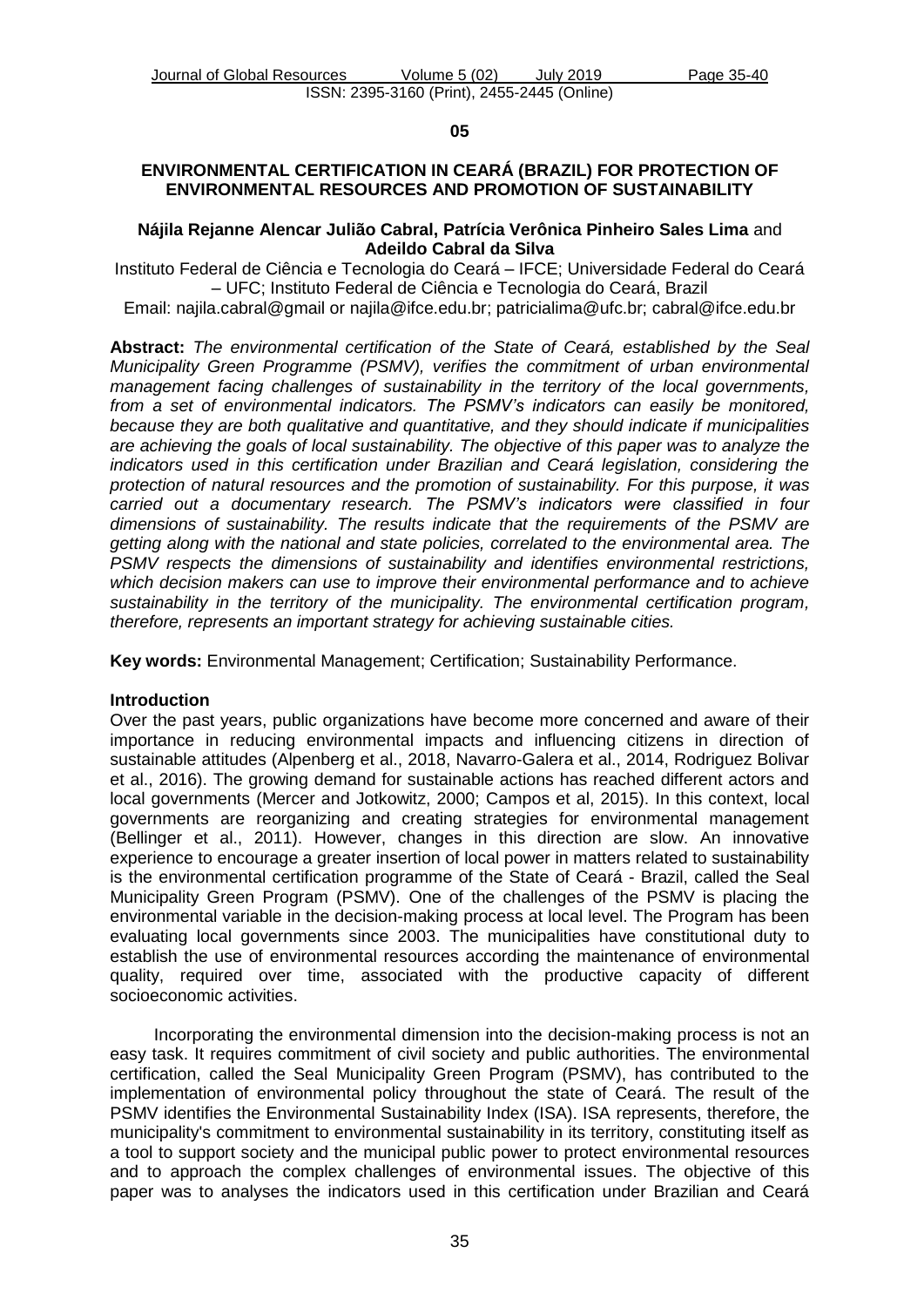**05**

# **ENVIRONMENTAL CERTIFICATION IN CEARÁ (BRAZIL) FOR PROTECTION OF ENVIRONMENTAL RESOURCES AND PROMOTION OF SUSTAINABILITY**

### **Nájila Rejanne Alencar Julião Cabral, Patrícia Verônica Pinheiro Sales Lima** and **Adeildo Cabral da Silva**

Instituto Federal de Ciência e Tecnologia do Ceará – IFCE; Universidade Federal do Ceará – UFC; Instituto Federal de Ciência e Tecnologia do Ceará, Brazil

Email: najila.cabral@gmail or najila@ifce.edu.br; patricialima@ufc.br; cabral@ifce.edu.br

**Abstract:** *The environmental certification of the State of Ceará, established by the Seal Municipality Green Programme (PSMV), verifies the commitment of urban environmental management facing challenges of sustainability in the territory of the local governments, from a set of environmental indicators. The PSMV's indicators can easily be monitored, because they are both qualitative and quantitative, and they should indicate if municipalities are achieving the goals of local sustainability. The objective of this paper was to analyze the indicators used in this certification under Brazilian and Ceará legislation, considering the protection of natural resources and the promotion of sustainability. For this purpose, it was carried out a documentary research. The PSMV's indicators were classified in four dimensions of sustainability. The results indicate that the requirements of the PSMV are getting along with the national and state policies, correlated to the environmental area. The PSMV respects the dimensions of sustainability and identifies environmental restrictions, which decision makers can use to improve their environmental performance and to achieve sustainability in the territory of the municipality. The environmental certification program, therefore, represents an important strategy for achieving sustainable cities.*

**Key words:** Environmental Management; Certification; Sustainability Performance.

### **Introduction**

Over the past years, public organizations have become more concerned and aware of their importance in reducing environmental impacts and influencing citizens in direction of sustainable attitudes (Alpenberg et al., 2018, Navarro-Galera et al., 2014, Rodriguez Bolivar et al., 2016). The growing demand for sustainable actions has reached different actors and local governments (Mercer and Jotkowitz, 2000; Campos et al, 2015). In this context, local governments are reorganizing and creating strategies for environmental management (Bellinger et al., 2011). However, changes in this direction are slow. An innovative experience to encourage a greater insertion of local power in matters related to sustainability is the environmental certification programme of the State of Ceará - Brazil, called the Seal Municipality Green Program (PSMV). One of the challenges of the PSMV is placing the environmental variable in the decision-making process at local level. The Program has been evaluating local governments since 2003. The municipalities have constitutional duty to establish the use of environmental resources according the maintenance of environmental quality, required over time, associated with the productive capacity of different socioeconomic activities.

Incorporating the environmental dimension into the decision-making process is not an easy task. It requires commitment of civil society and public authorities. The environmental certification, called the Seal Municipality Green Program (PSMV), has contributed to the implementation of environmental policy throughout the state of Ceará. The result of the PSMV identifies the Environmental Sustainability Index (ISA). ISA represents, therefore, the municipality's commitment to environmental sustainability in its territory, constituting itself as a tool to support society and the municipal public power to protect environmental resources and to approach the complex challenges of environmental issues. The objective of this paper was to analyses the indicators used in this certification under Brazilian and Ceará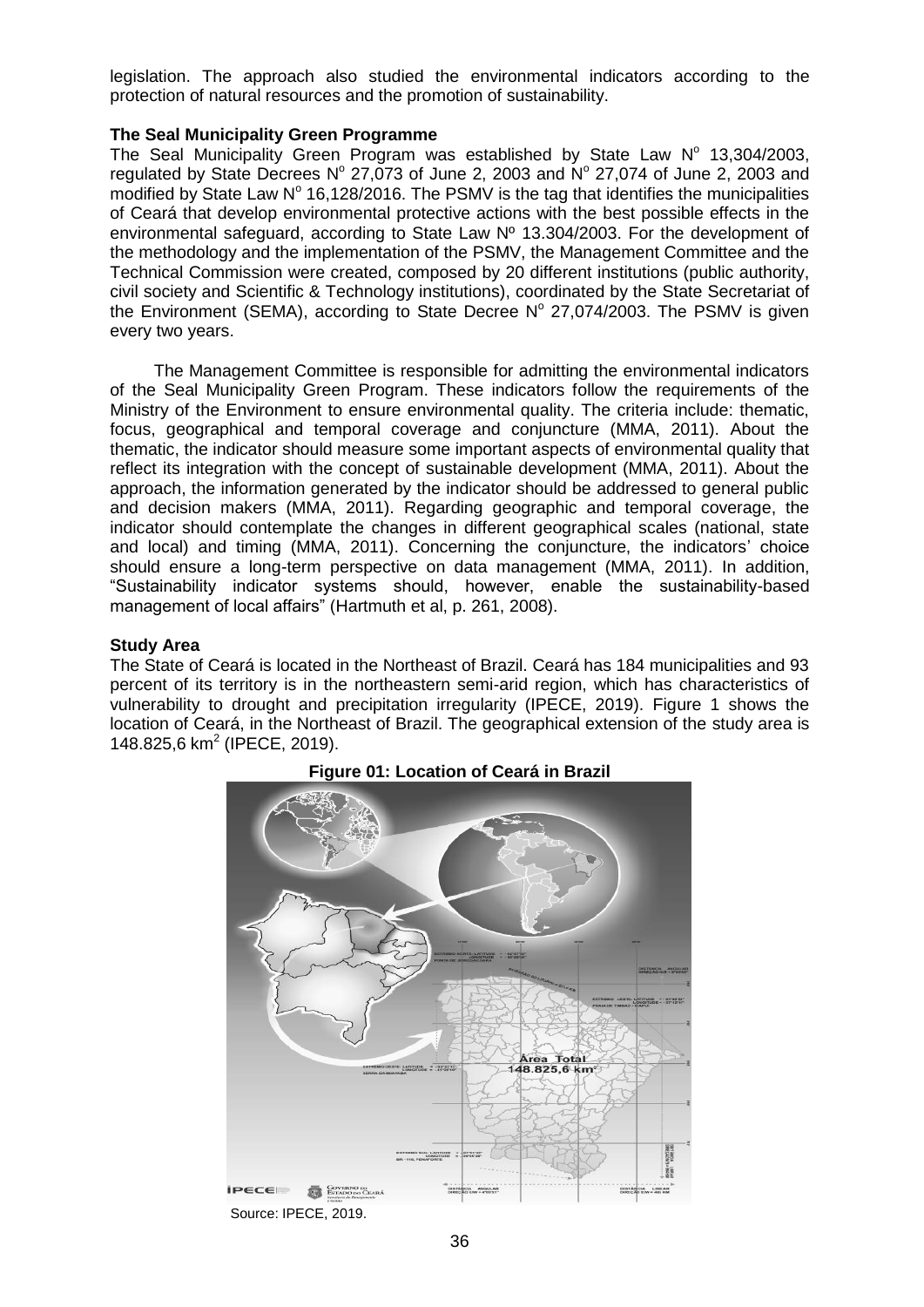legislation. The approach also studied the environmental indicators according to the protection of natural resources and the promotion of sustainability.

### **The Seal Municipality Green Programme**

The Seal Municipality Green Program was established by State Law  $N^{\circ}$  13,304/2003, regulated by State Decrees  $N^{\circ}$  27,073 of June 2, 2003 and  $N^{\circ}$  27,074 of June 2, 2003 and modified by State Law  $N^{\circ}$  16,128/2016. The PSMV is the tag that identifies the municipalities of Ceará that develop environmental protective actions with the best possible effects in the environmental safeguard, according to State Law Nº 13.304/2003. For the development of the methodology and the implementation of the PSMV, the Management Committee and the Technical Commission were created, composed by 20 different institutions (public authority, civil society and Scientific & Technology institutions), coordinated by the State Secretariat of the Environment (SEMA), according to State Decree  $N^{\circ}$  27,074/2003. The PSMV is given every two years.

The Management Committee is responsible for admitting the environmental indicators of the Seal Municipality Green Program. These indicators follow the requirements of the Ministry of the Environment to ensure environmental quality. The criteria include: thematic, focus, geographical and temporal coverage and conjuncture (MMA, 2011). About the thematic, the indicator should measure some important aspects of environmental quality that reflect its integration with the concept of sustainable development (MMA, 2011). About the approach, the information generated by the indicator should be addressed to general public and decision makers (MMA, 2011). Regarding geographic and temporal coverage, the indicator should contemplate the changes in different geographical scales (national, state and local) and timing (MMA, 2011). Concerning the conjuncture, the indicators' choice should ensure a long-term perspective on data management (MMA, 2011). In addition, "Sustainability indicator systems should, however, enable the sustainability-based management of local affairs" (Hartmuth et al, p. 261, 2008).

# **Study Area**

The State of Ceará is located in the Northeast of Brazil. Ceará has 184 municipalities and 93 percent of its territory is in the northeastern semi-arid region, which has characteristics of vulnerability to drought and precipitation irregularity (IPECE, 2019). Figure 1 shows the location of Ceará, in the Northeast of Brazil. The geographical extension of the study area is 148.825,6 km<sup>2</sup> (IPECE, 2019).



# **Figure 01: Location of Ceará in Brazil**

36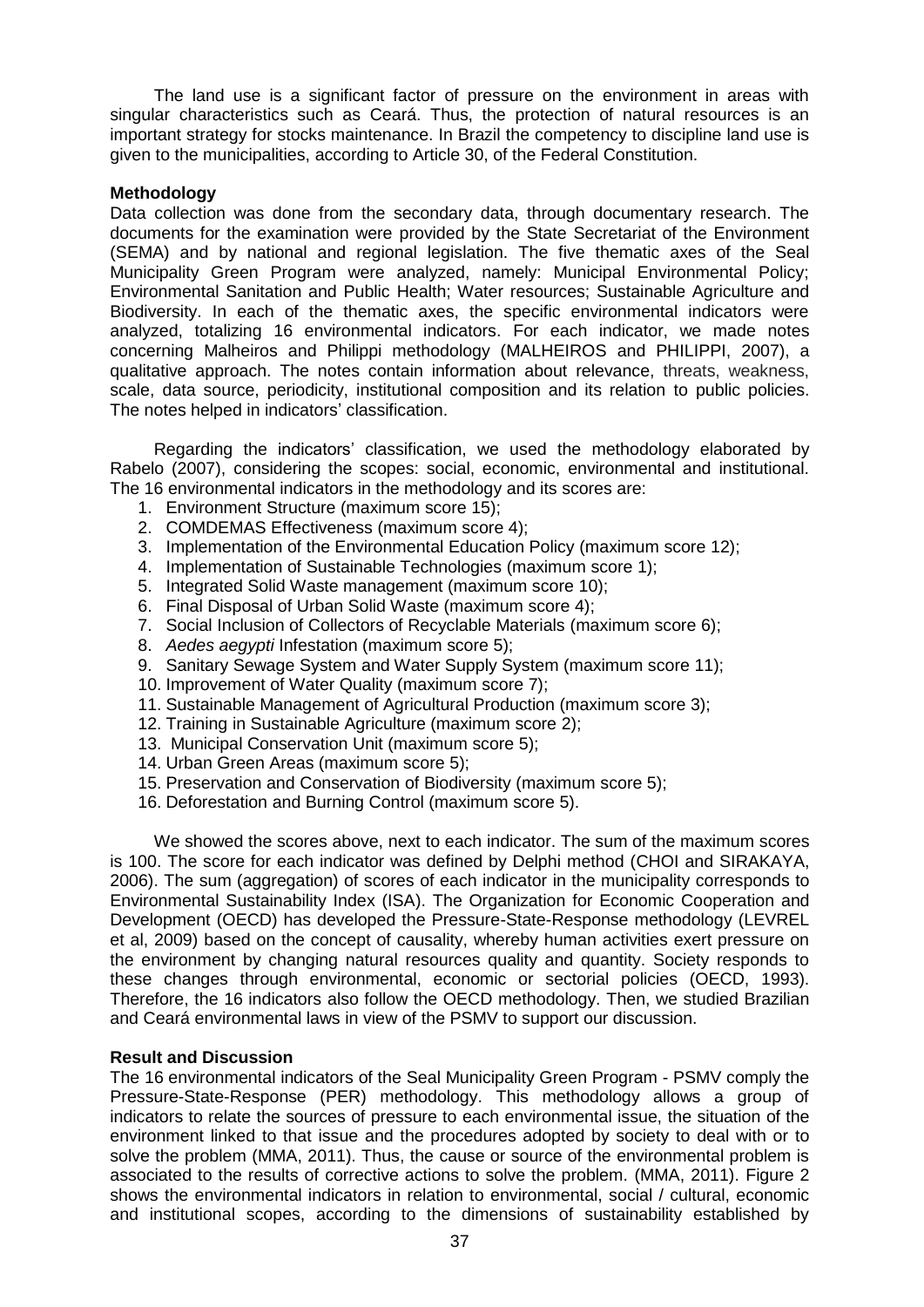The land use is a significant factor of pressure on the environment in areas with singular characteristics such as Ceará. Thus, the protection of natural resources is an important strategy for stocks maintenance. In Brazil the competency to discipline land use is given to the municipalities, according to Article 30, of the Federal Constitution.

### **Methodology**

Data collection was done from the secondary data, through documentary research. The documents for the examination were provided by the State Secretariat of the Environment (SEMA) and by national and regional legislation. The five thematic axes of the Seal Municipality Green Program were analyzed, namely: Municipal Environmental Policy; Environmental Sanitation and Public Health; Water resources; Sustainable Agriculture and Biodiversity. In each of the thematic axes, the specific environmental indicators were analyzed, totalizing 16 environmental indicators. For each indicator, we made notes concerning Malheiros and Philippi methodology (MALHEIROS and PHILIPPI, 2007), a qualitative approach. The notes contain information about relevance, threats, weakness, scale, data source, periodicity, institutional composition and its relation to public policies. The notes helped in indicators' classification.

Regarding the indicators' classification, we used the methodology elaborated by Rabelo (2007), considering the scopes: social, economic, environmental and institutional. The 16 environmental indicators in the methodology and its scores are:

- 1. Environment Structure (maximum score 15);
- 2. COMDEMAS Effectiveness (maximum score 4);
- 3. Implementation of the Environmental Education Policy (maximum score 12);
- 4. Implementation of Sustainable Technologies (maximum score 1);
- 5. Integrated Solid Waste management (maximum score 10);
- 6. Final Disposal of Urban Solid Waste (maximum score 4);
- 7. Social Inclusion of Collectors of Recyclable Materials (maximum score 6);
- 8. *Aedes aegypti* Infestation (maximum score 5);
- 9. Sanitary Sewage System and Water Supply System (maximum score 11);
- 10. Improvement of Water Quality (maximum score 7);
- 11. Sustainable Management of Agricultural Production (maximum score 3);
- 12. Training in Sustainable Agriculture (maximum score 2);
- 13. Municipal Conservation Unit (maximum score 5);
- 14. Urban Green Areas (maximum score 5);
- 15. Preservation and Conservation of Biodiversity (maximum score 5);
- 16. Deforestation and Burning Control (maximum score 5).

We showed the scores above, next to each indicator. The sum of the maximum scores is 100. The score for each indicator was defined by Delphi method (CHOI and SIRAKAYA, 2006). The sum (aggregation) of scores of each indicator in the municipality corresponds to Environmental Sustainability Index (ISA). The Organization for Economic Cooperation and Development (OECD) has developed the Pressure-State-Response methodology (LEVREL et al, 2009) based on the concept of causality, whereby human activities exert pressure on the environment by changing natural resources quality and quantity. Society responds to these changes through environmental, economic or sectorial policies (OECD, 1993). Therefore, the 16 indicators also follow the OECD methodology. Then, we studied Brazilian and Ceará environmental laws in view of the PSMV to support our discussion.

### **Result and Discussion**

The 16 environmental indicators of the Seal Municipality Green Program - PSMV comply the Pressure-State-Response (PER) methodology. This methodology allows a group of indicators to relate the sources of pressure to each environmental issue, the situation of the environment linked to that issue and the procedures adopted by society to deal with or to solve the problem (MMA, 2011). Thus, the cause or source of the environmental problem is associated to the results of corrective actions to solve the problem. (MMA, 2011). Figure 2 shows the environmental indicators in relation to environmental, social / cultural, economic and institutional scopes, according to the dimensions of sustainability established by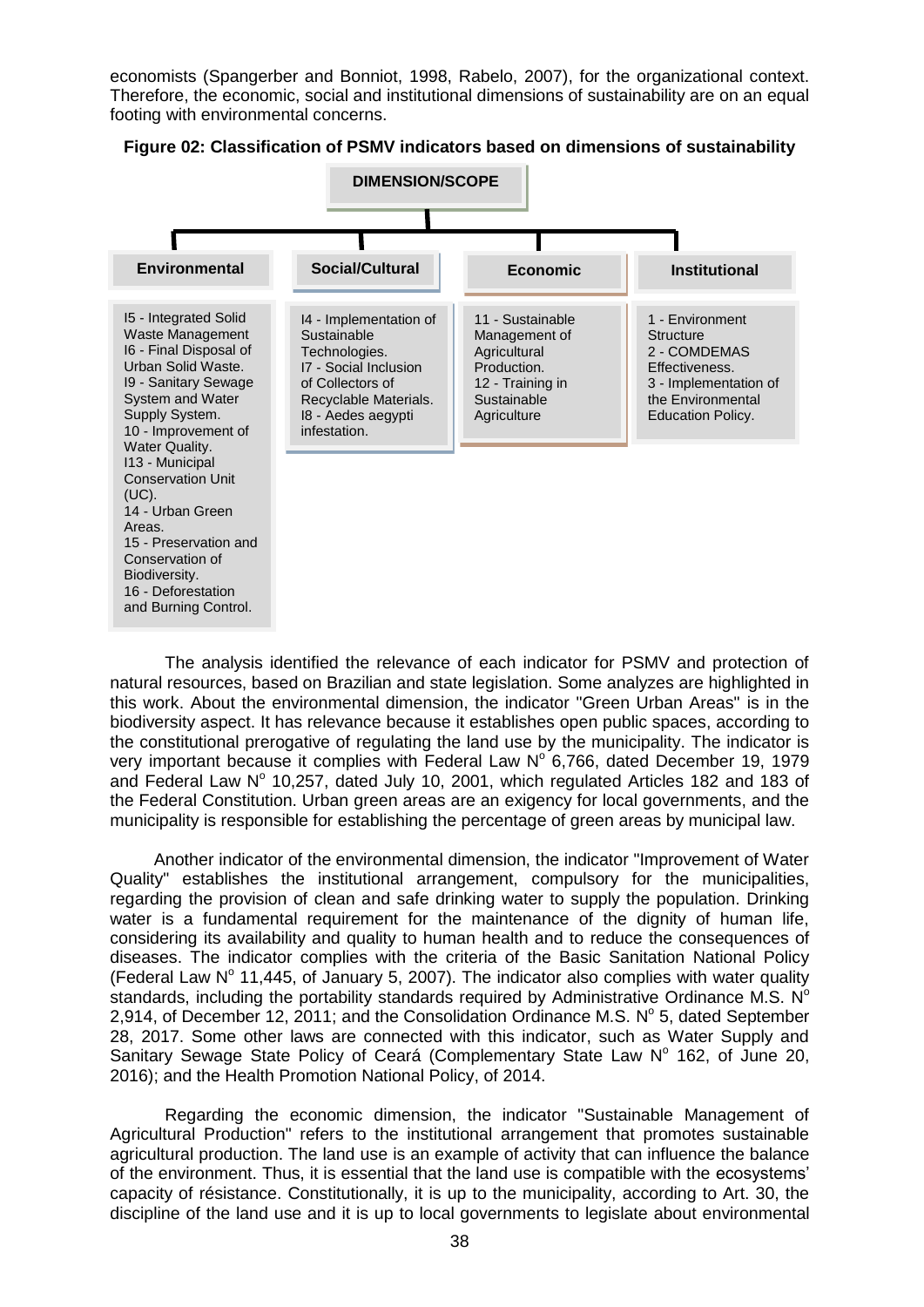economists (Spangerber and Bonniot, 1998, Rabelo, 2007), for the organizational context. Therefore, the economic, social and institutional dimensions of sustainability are on an equal footing with environmental concerns.



**Figure 02: Classification of PSMV indicators based on dimensions of sustainability**

The analysis identified the relevance of each indicator for PSMV and protection of natural resources, based on Brazilian and state legislation. Some analyzes are highlighted in this work. About the environmental dimension, the indicator "Green Urban Areas" is in the biodiversity aspect. It has relevance because it establishes open public spaces, according to the constitutional prerogative of regulating the land use by the municipality. The indicator is very important because it complies with Federal Law  $N^{\circ}$  6,766, dated December 19, 1979 and Federal Law  $N^{\circ}$  10,257, dated July 10, 2001, which regulated Articles 182 and 183 of the Federal Constitution. Urban green areas are an exigency for local governments, and the municipality is responsible for establishing the percentage of green areas by municipal law.

Another indicator of the environmental dimension, the indicator "Improvement of Water Quality" establishes the institutional arrangement, compulsory for the municipalities, regarding the provision of clean and safe drinking water to supply the population. Drinking water is a fundamental requirement for the maintenance of the dignity of human life, considering its availability and quality to human health and to reduce the consequences of diseases. The indicator complies with the criteria of the Basic Sanitation National Policy (Federal Law  $N^{\circ}$  11,445, of January 5, 2007). The indicator also complies with water quality standards, including the portability standards required by Administrative Ordinance M.S. N<sup>o</sup> 2,914, of December 12, 2011; and the Consolidation Ordinance M.S.  $N^{\circ}$  5, dated September 28, 2017. Some other laws are connected with this indicator, such as Water Supply and Sanitary Sewage State Policy of Ceará (Complementary State Law Nº 162, of June 20, 2016); and the Health Promotion National Policy, of 2014.

Regarding the economic dimension, the indicator "Sustainable Management of Agricultural Production" refers to the institutional arrangement that promotes sustainable agricultural production. The land use is an example of activity that can influence the balance of the environment. Thus, it is essential that the land use is compatible with the ecosystems' capacity of résistance. Constitutionally, it is up to the municipality, according to Art. 30, the discipline of the land use and it is up to local governments to legislate about environmental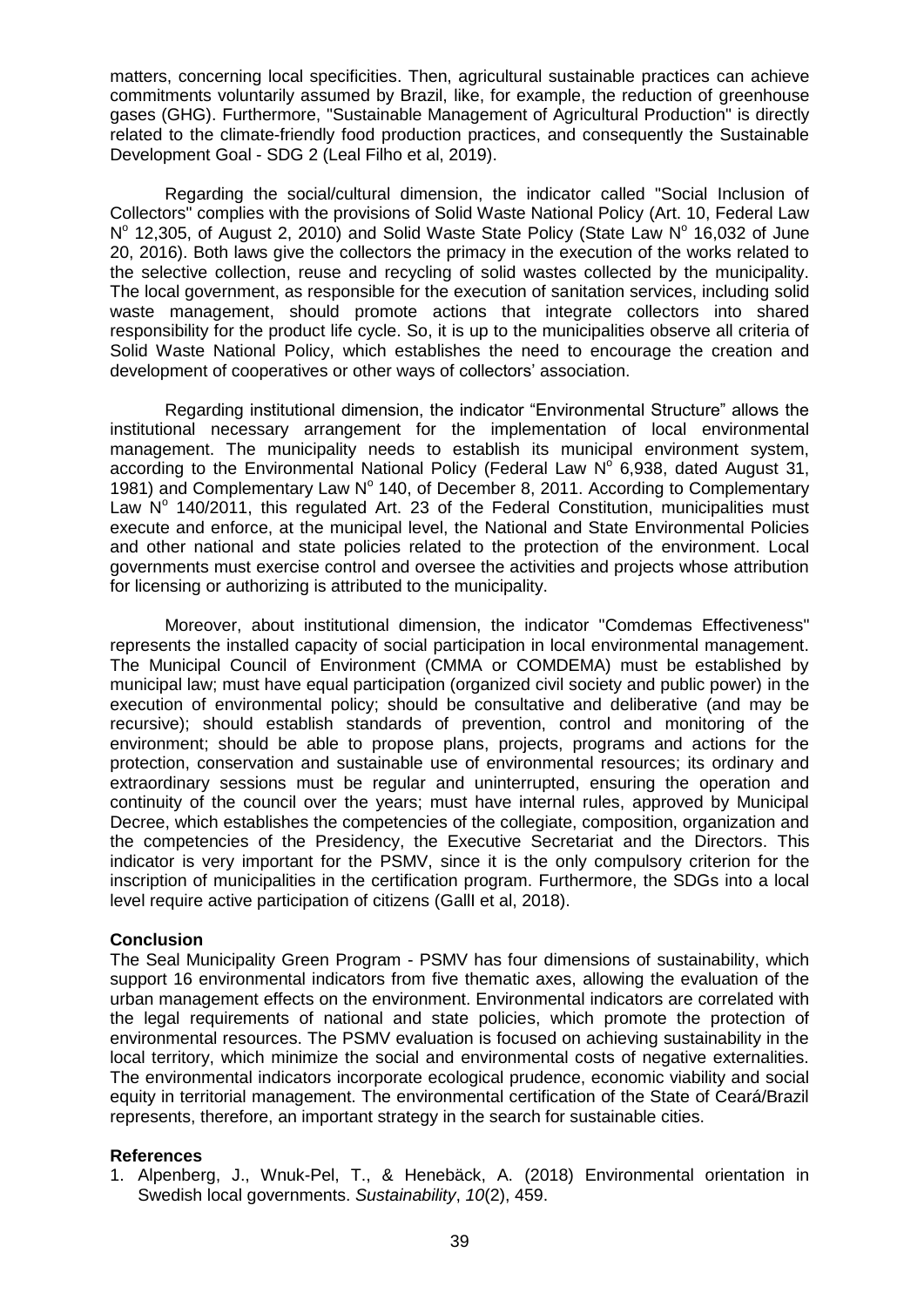matters, concerning local specificities. Then, agricultural sustainable practices can achieve commitments voluntarily assumed by Brazil, like, for example, the reduction of greenhouse gases (GHG). Furthermore, "Sustainable Management of Agricultural Production" is directly related to the climate-friendly food production practices, and consequently the Sustainable Development Goal - SDG 2 (Leal Filho et al, 2019).

Regarding the social/cultural dimension, the indicator called "Social Inclusion of Collectors" complies with the provisions of Solid Waste National Policy (Art. 10, Federal Law N<sup>o</sup> 12,305, of August 2, 2010) and Solid Waste State Policy (State Law N<sup>o</sup> 16,032 of June 20, 2016). Both laws give the collectors the primacy in the execution of the works related to the selective collection, reuse and recycling of solid wastes collected by the municipality. The local government, as responsible for the execution of sanitation services, including solid waste management, should promote actions that integrate collectors into shared responsibility for the product life cycle. So, it is up to the municipalities observe all criteria of Solid Waste National Policy, which establishes the need to encourage the creation and development of cooperatives or other ways of collectors' association.

Regarding institutional dimension, the indicator "Environmental Structure" allows the institutional necessary arrangement for the implementation of local environmental management. The municipality needs to establish its municipal environment system, according to the Environmental National Policy (Federal Law  $N^{\circ}$  6,938, dated August 31, 1981) and Complementary Law  $N^{\circ}$  140, of December 8, 2011. According to Complementary Law  $N^{\circ}$  140/2011, this regulated Art. 23 of the Federal Constitution, municipalities must execute and enforce, at the municipal level, the National and State Environmental Policies and other national and state policies related to the protection of the environment. Local governments must exercise control and oversee the activities and projects whose attribution for licensing or authorizing is attributed to the municipality.

Moreover, about institutional dimension, the indicator "Comdemas Effectiveness" represents the installed capacity of social participation in local environmental management. The Municipal Council of Environment (CMMA or COMDEMA) must be established by municipal law; must have equal participation (organized civil society and public power) in the execution of environmental policy; should be consultative and deliberative (and may be recursive); should establish standards of prevention, control and monitoring of the environment; should be able to propose plans, projects, programs and actions for the protection, conservation and sustainable use of environmental resources; its ordinary and extraordinary sessions must be regular and uninterrupted, ensuring the operation and continuity of the council over the years; must have internal rules, approved by Municipal Decree, which establishes the competencies of the collegiate, composition, organization and the competencies of the Presidency, the Executive Secretariat and the Directors. This indicator is very important for the PSMV, since it is the only compulsory criterion for the inscription of municipalities in the certification program. Furthermore, the SDGs into a local level require active participation of citizens (GallI et al, 2018).

### **Conclusion**

The Seal Municipality Green Program - PSMV has four dimensions of sustainability, which support 16 environmental indicators from five thematic axes, allowing the evaluation of the urban management effects on the environment. Environmental indicators are correlated with the legal requirements of national and state policies, which promote the protection of environmental resources. The PSMV evaluation is focused on achieving sustainability in the local territory, which minimize the social and environmental costs of negative externalities. The environmental indicators incorporate ecological prudence, economic viability and social equity in territorial management. The environmental certification of the State of Ceará/Brazil represents, therefore, an important strategy in the search for sustainable cities.

### **References**

1. Alpenberg, J., Wnuk-Pel, T., & Henebäck, A. (2018) Environmental orientation in Swedish local governments. *Sustainability*, *10*(2), 459.